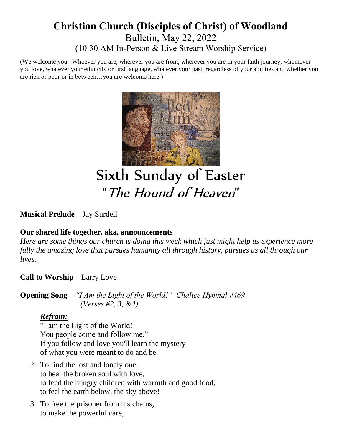# **Christian Church (Disciples of Christ) of Woodland** Bulletin, May 22, 2022 (10:30 AM In-Person & Live Stream Worship Service)

(We welcome you. Whoever you are, wherever you are from, wherever you are in your faith journey, whomever you love, whatever your ethnicity or first language, whatever your past, regardless of your abilities and whether you are rich or poor or in between…you are welcome here.)



Sixth Sunday of Easter "The Hound of Heaven"

**Musical Prelude**—Jay Surdell

## **Our shared life together, aka, announcements**

*Here are some things our church is doing this week which just might help us experience more fully the amazing love that pursues humanity all through history, pursues us all through our lives.*

**Call to Worship**—Larry Love

**Opening Song**—*"I Am the Light of the World!" Chalice Hymnal #469 (Verses #2, 3, &4)*

## *Refrain:*

"I am the Light of the World! You people come and follow me." If you follow and love you'll learn the mystery of what you were meant to do and be.

- 2. To find the lost and lonely one, to heal the broken soul with love, to feed the hungry children with warmth and good food, to feel the earth below, the sky above!
- 3. To free the prisoner from his chains, to make the powerful care,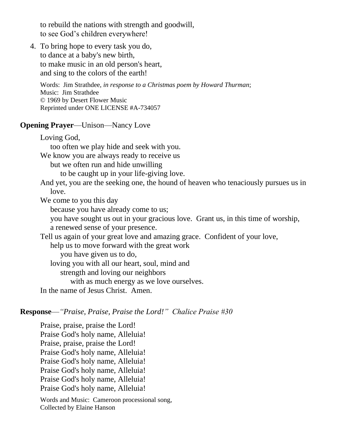to rebuild the nations with strength and goodwill, to see God's children everywhere!

4. To bring hope to every task you do, to dance at a baby's new birth, to make music in an old person's heart, and sing to the colors of the earth!

Words: Jim Strathdee, *in response to a Christmas poem by Howard Thurman*; Music: Jim Strathdee © 1969 by Desert Flower Music Reprinted under ONE LICENSE #A-734057

#### **Opening Prayer**—Unison—Nancy Love

Loving God, too often we play hide and seek with you. We know you are always ready to receive us but we often run and hide unwilling to be caught up in your life-giving love. And yet, you are the seeking one, the hound of heaven who tenaciously pursues us in love. We come to you this day because you have already come to us; you have sought us out in your gracious love. Grant us, in this time of worship, a renewed sense of your presence. Tell us again of your great love and amazing grace. Confident of your love, help us to move forward with the great work you have given us to do, loving you with all our heart, soul, mind and strength and loving our neighbors with as much energy as we love ourselves. In the name of Jesus Christ. Amen.

#### **Response**—*"Praise, Praise, Praise the Lord!" Chalice Praise #30*

Praise, praise, praise the Lord! Praise God's holy name, Alleluia! Praise, praise, praise the Lord! Praise God's holy name, Alleluia! Praise God's holy name, Alleluia! Praise God's holy name, Alleluia! Praise God's holy name, Alleluia! Praise God's holy name, Alleluia!

Words and Music: Cameroon processional song, Collected by Elaine Hanson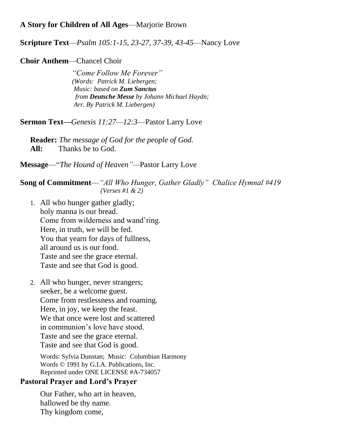#### **A Story for Children of All Ages**—Marjorie Brown

**Scripture Text**—*Psalm 105:1-15, 23-27, 37-39, 43-45*—Nancy Love

**Choir Anthem**—Chancel Choir

 *"Come Follow Me Forever" (Words: Patrick M. Liebergen; Music: based on Zum Sanctus from Deutsche Messe by Johann Michael Haydn; Arr. By Patrick M. Liebergen)*

**Sermon Text—***Genesis 11:27—12:3*—Pastor Larry Love

**Reader:** *The message of God for the people of God.* **All:** Thanks be to God.

**Message**—"*The Hound of Heaven"—*Pastor Larry Love

#### **Song of Commitment**—*"All Who Hunger, Gather Gladly" Chalice Hymnal #419 (Verses #1 & 2)*

- 1. All who hunger gather gladly; holy manna is our bread. Come from wilderness and wand'ring. Here, in truth, we will be fed. You that yearn for days of fullness, all around us is our food. Taste and see the grace eternal. Taste and see that God is good.
- 2. All who hunger, never strangers; seeker, be a welcome guest. Come from restlessness and roaming. Here, in joy, we keep the feast. We that once were lost and scattered in communion's love have stood. Taste and see the grace eternal. Taste and see that God is good.

Words: Sylvia Dunstan; Music: Columbian Harmony Words © 1991 by G.I.A. Publications, Inc. Reprinted under ONE LICENSE #A-734057

#### **Pastoral Prayer and Lord's Prayer**

Our Father, who art in heaven, hallowed be thy name. Thy kingdom come,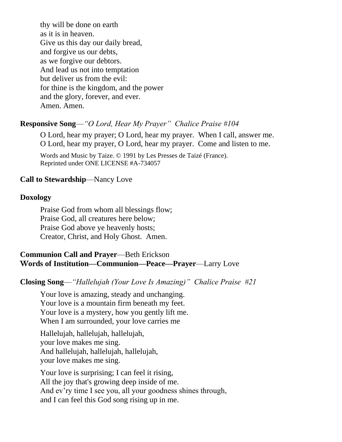thy will be done on earth as it is in heaven. Give us this day our daily bread, and forgive us our debts, as we forgive our debtors. And lead us not into temptation but deliver us from the evil: for thine is the kingdom, and the power and the glory, forever, and ever. Amen. Amen.

## **Responsive Song**—*"O Lord, Hear My Prayer" Chalice Praise #104*

O Lord, hear my prayer; O Lord, hear my prayer. When I call, answer me. O Lord, hear my prayer, O Lord, hear my prayer. Come and listen to me.

Words and Music by Taize. © 1991 by Les Presses de Taizé (France). Reprinted under ONE LICENSE #A-734057

#### **Call to Stewardship**—Nancy Love

#### **Doxology**

Praise God from whom all blessings flow; Praise God, all creatures here below; Praise God above ye heavenly hosts; Creator, Christ, and Holy Ghost. Amen.

#### **Communion Call and Prayer**—Beth Erickson W**ords of Institution—Communion—Peace—Prayer**—Larry Love

**Closing Song**—*"Hallelujah (Your Love Is Amazing)" Chalice Praise #21*

Your love is amazing, steady and unchanging. Your love is a mountain firm beneath my feet. Your love is a mystery, how you gently lift me. When I am surrounded, your love carries me

Hallelujah, hallelujah, hallelujah, your love makes me sing. And hallelujah, hallelujah, hallelujah, your love makes me sing.

Your love is surprising; I can feel it rising, All the joy that's growing deep inside of me. And ev'ry time I see you, all your goodness shines through, and I can feel this God song rising up in me.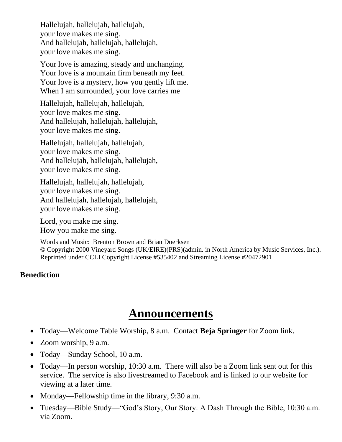Hallelujah, hallelujah, hallelujah, your love makes me sing. And hallelujah, hallelujah, hallelujah, your love makes me sing.

Your love is amazing, steady and unchanging. Your love is a mountain firm beneath my feet. Your love is a mystery, how you gently lift me. When I am surrounded, your love carries me

Hallelujah, hallelujah, hallelujah, your love makes me sing. And hallelujah, hallelujah, hallelujah, your love makes me sing.

Hallelujah, hallelujah, hallelujah, your love makes me sing. And hallelujah, hallelujah, hallelujah, your love makes me sing.

Hallelujah, hallelujah, hallelujah, your love makes me sing. And hallelujah, hallelujah, hallelujah, your love makes me sing.

Lord, you make me sing. How you make me sing.

Words and Music: Brenton Brown and Brian Doerksen © Copyright 2000 Vineyard Songs (UK/EIRE)(PRS)(admin. in North America by Music Services, Inc.). Reprinted under CCLI Copyright License #535402 and Streaming License #20472901

## **Benediction**

# **Announcements**

- Today—Welcome Table Worship, 8 a.m. Contact **Beja Springer** for Zoom link.
- Zoom worship, 9 a.m.
- Today—Sunday School, 10 a.m.
- Today—In person worship, 10:30 a.m. There will also be a Zoom link sent out for this service. The service is also livestreamed to Facebook and is linked to our website for viewing at a later time.
- Monday—Fellowship time in the library, 9:30 a.m.
- Tuesday—Bible Study—"God's Story, Our Story: A Dash Through the Bible, 10:30 a.m. via Zoom.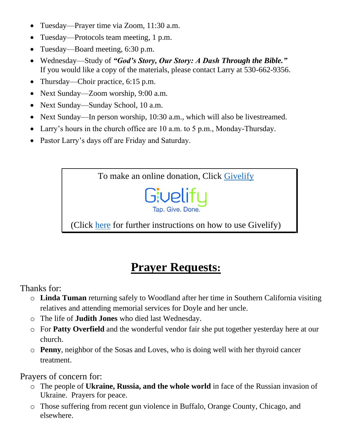- Tuesday—Prayer time via Zoom, 11:30 a.m.
- Tuesday—Protocols team meeting, 1 p.m.
- Tuesday—Board meeting, 6:30 p.m.
- Wednesday—Study of *"God's Story, Our Story: A Dash Through the Bible."* If you would like a copy of the materials, please contact Larry at 530-662-9356.
- Thursday—Choir practice, 6:15 p.m.
- Next Sunday—Zoom worship, 9:00 a.m.
- Next Sunday—Sunday School, 10 a.m.
- Next Sunday—In person worship, 10:30 a.m., which will also be livestreamed.
- Larry's hours in the church office are 10 a.m. to 5 p.m., Monday-Thursday.
- Pastor Larry's days off are Friday and Saturday.



# **Prayer Requests:**

## Thanks for:

- o **Linda Tuman** returning safely to Woodland after her time in Southern California visiting relatives and attending memorial services for Doyle and her uncle.
- o The life of **Judith Jones** who died last Wednesday.
- o For **Patty Overfield** and the wonderful vendor fair she put together yesterday here at our church.
- o **Penny**, neighbor of the Sosas and Loves, who is doing well with her thyroid cancer treatment.

Prayers of concern for:

- o The people of **Ukraine, Russia, and the whole world** in face of the Russian invasion of Ukraine. Prayers for peace.
- o Those suffering from recent gun violence in Buffalo, Orange County, Chicago, and elsewhere.